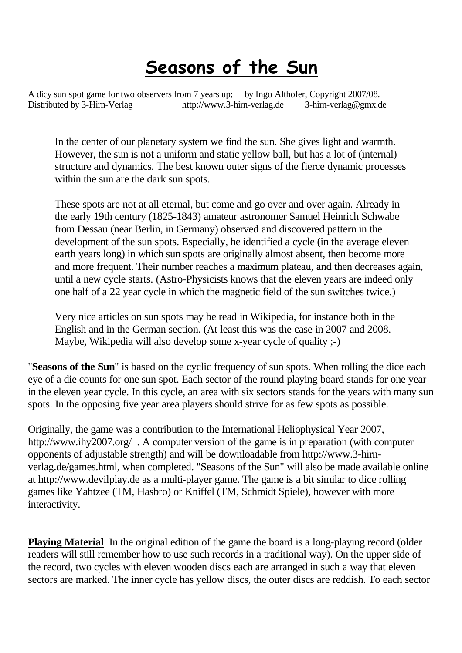## **Seasons of the Sun**

A dicy sun spot game for two observers from 7 years up; by Ingo Althofer, Copyright 2007/08. Distributed by 3-Hirn-Verlag http://www.3-hirn-verlag.de 3-hirn-ver[lag@gmx.de](mailto:ag@gmx.de)

In the center of our planetary system we find the sun. She gives light and warmth. However, the sun is not a uniform and static yellow ball, but has a lot of (internal) structure and dynamics. The best known outer signs of the fierce dynamic processes within the sun are the dark sun spots.

These spots are not at all eternal, but come and go over and over again. Already in the early 19th century (1825-1843) amateur astronomer Samuel Heinrich Schwabe from Dessau (near Berlin, in Germany) observed and discovered pattern in the development of the sun spots. Especially, he identified a cycle (in the average eleven earth years long) in which sun spots are originally almost absent, then become more and more frequent. Their number reaches a maximum plateau, and then decreases again, until a new cycle starts. (Astro-Physicists knows that the eleven years are indeed only one half of a 22 year cycle in which the magnetic field of the sun switches twice.)

Very nice articles on sun spots may be read in Wikipedia, for instance both in the English and in the German section. (At least this was the case in 2007 and 2008. Maybe, Wikipedia will also develop some x-year cycle of quality ;-)

"**Seasons of the Sun**" is based on the cyclic frequency of sun spots. When rolling the dice each eye of a die counts for one sun spot. Each sector of the round playing board stands for one year in the eleven year cycle. In this cycle, an area with six sectors stands for the years with many sun spots. In the opposing five year area players should strive for as few spots as possible.

Originally, the game was a contribution to the International Heliophysical Year 2007, http://www.ihy2007.org/ . A computer version of the game is in preparation (with computer opponents of adjustable strength) and will be downloadable from http://www.3-hirnverlag.de/games.html, when completed. "Seasons of the Sun" will also be made available online at http://www.devilplay.de as a multi-player game. The game is a bit similar to dice rolling games like Yahtzee (TM, Hasbro) or Kniffel (TM, Schmidt Spiele), however with more interactivity.

**Playing Material** In the original edition of the game the board is a long-playing record (older readers will still remember how to use such records in a traditional way). On the upper side of the record, two cycles with eleven wooden discs each are arranged in such a way that eleven sectors are marked. The inner cycle has yellow discs, the outer discs are reddish. To each sector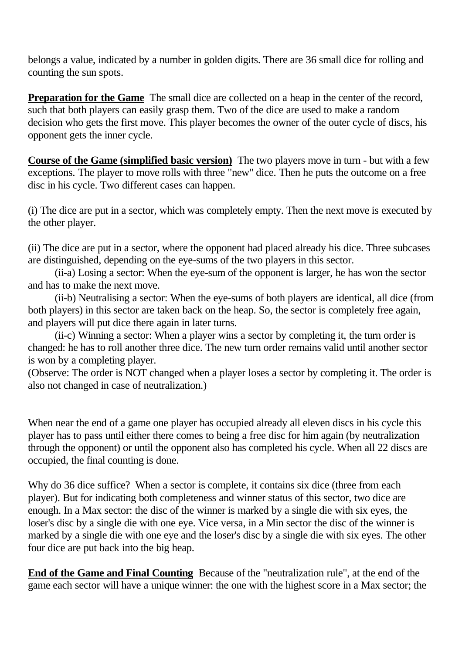belongs a value, indicated by a number in golden digits. There are 36 small dice for rolling and counting the sun spots.

**Preparation for the Game** The small dice are collected on a heap in the center of the record, such that both players can easily grasp them. Two of the dice are used to make a random decision who gets the first move. This player becomes the owner of the outer cycle of discs, his opponent gets the inner cycle.

**Course of the Game (simplified basic version)** The two players move in turn - but with a few exceptions. The player to move rolls with three "new" dice. Then he puts the outcome on a free disc in his cycle. Two different cases can happen.

(i) The dice are put in a sector, which was completely empty. Then the next move is executed by the other player.

(ii) The dice are put in a sector, where the opponent had placed already his dice. Three subcases are distinguished, depending on the eye-sums of the two players in this sector.

(ii-a) Losing a sector: When the eye-sum of the opponent is larger, he has won the sector and has to make the next move.

(ii-b) Neutralising a sector: When the eye-sums of both players are identical, all dice (from both players) in this sector are taken back on the heap. So, the sector is completely free again, and players will put dice there again in later turns.

(ii-c) Winning a sector: When a player wins a sector by completing it, the turn order is changed: he has to roll another three dice. The new turn order remains valid until another sector is won by a completing player.

(Observe: The order is NOT changed when a player loses a sector by completing it. The order is also not changed in case of neutralization.)

When near the end of a game one player has occupied already all eleven discs in his cycle this player has to pass until either there comes to being a free disc for him again (by neutralization through the opponent) or until the opponent also has completed his cycle. When all 22 discs are occupied, the final counting is done.

Why do 36 dice suffice? When a sector is complete, it contains six dice (three from each player). But for indicating both completeness and winner status of this sector, two dice are enough. In a Max sector: the disc of the winner is marked by a single die with six eyes, the loser's disc by a single die with one eye. Vice versa, in a Min sector the disc of the winner is marked by a single die with one eye and the loser's disc by a single die with six eyes. The other four dice are put back into the big heap.

**End of the Game and Final Counting** Because of the "neutralization rule", at the end of the game each sector will have a unique winner: the one with the highest score in a Max sector; the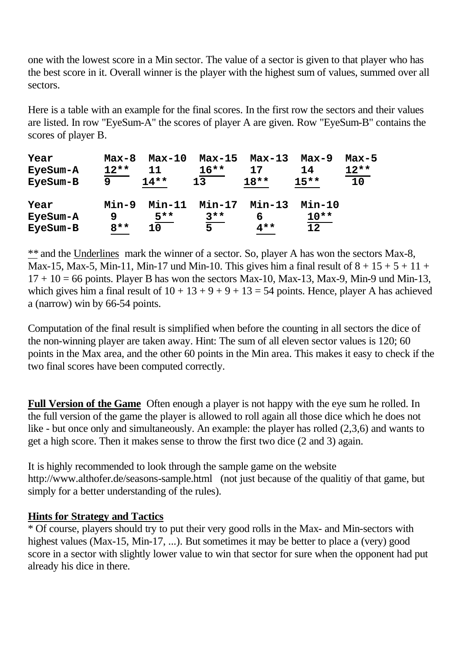one with the lowest score in a Min sector. The value of a sector is given to that player who has the best score in it. Overall winner is the player with the highest sum of values, summed over all sectors.

Here is a table with an example for the final scores. In the first row the sectors and their values are listed. In row "EyeSum-A" the scores of player A are given. Row "EyeSum-B" contains the scores of player B.

| Year     | $Max-8$ | $Max-10$ | $Max-15$ | Max-13        | $Max-9$  | $Max-5$ |
|----------|---------|----------|----------|---------------|----------|---------|
| EyeSum-A | $12**$  | 11       | $16***$  | 17            | 14       | $12**$  |
| EyeSum-B | q       | $14***$  | 13       | $18**$        | $15***$  | 10      |
| Year     | Min-9   | $Min-11$ | $Min-17$ | <b>Min-13</b> | $Min-10$ |         |
| EyeSum-A | 9       | $5**$    | $3***$   | 6             | $10**$   |         |
| EyeSum-B | $8**$   | 10       | 5        | $4**$         | 12       |         |

\*\* and the Underlines mark the winner of a sector. So, player A has won the sectors Max-8, Max-15, Max-5, Min-11, Min-17 und Min-10. This gives him a final result of  $8 + 15 + 5 + 11 +$  $17 + 10 = 66$  points. Player B has won the sectors Max-10, Max-13, Max-9, Min-9 und Min-13, which gives him a final result of  $10 + 13 + 9 + 9 + 13 = 54$  points. Hence, player A has achieved a (narrow) win by 66-54 points.

Computation of the final result is simplified when before the counting in all sectors the dice of the non-winning player are taken away. Hint: The sum of all eleven sector values is 120; 60 points in the Max area, and the other 60 points in the Min area. This makes it easy to check if the two final scores have been computed correctly.

**Full Version of the Game** Often enough a player is not happy with the eye sum he rolled. In the full version of the game the player is allowed to roll again all those dice which he does not like - but once only and simultaneously. An example: the player has rolled  $(2,3,6)$  and wants to get a high score. Then it makes sense to throw the first two dice (2 and 3) again.

It is highly recommended to look through the sample game on the website <http://www.althofer.de/seasons>-sample.html (not just because of the qualitiy of that game, but simply for a better understanding of the rules).

## **Hints for Strategy and Tactics**

\* Of course, players should try to put their very good rolls in the Max- and Min-sectors with highest values (Max-15, Min-17, ...). But sometimes it may be better to place a (very) good score in a sector with slightly lower value to win that sector for sure when the opponent had put already his dice in there.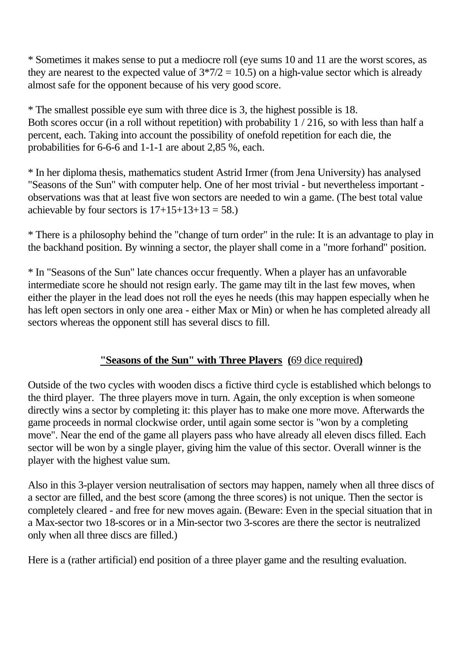\* Sometimes it makes sense to put a mediocre roll (eye sums 10 and 11 are the worst scores, as they are nearest to the expected value of  $3*7/2 = 10.5$ ) on a high-value sector which is already almost safe for the opponent because of his very good score.

\* The smallest possible eye sum with three dice is 3, the highest possible is 18. Both scores occur (in a roll without repetition) with probability 1 / 216, so with less than half a percent, each. Taking into account the possibility of onefold repetition for each die, the probabilities for 6-6-6 and 1-1-1 are about 2,85 %, each.

\* In her diploma thesis, mathematics student Astrid Irmer (from Jena University) has analysed "Seasons of the Sun" with computer help. One of her most trivial - but nevertheless important observations was that at least five won sectors are needed to win a game. (The best total value achievable by four sectors is  $17+15+13+13=58$ .

\* There is a philosophy behind the "change of turn order" in the rule: It is an advantage to play in the backhand position. By winning a sector, the player shall come in a "more forhand" position.

\* In "Seasons of the Sun" late chances occur frequently. When a player has an unfavorable intermediate score he should not resign early. The game may tilt in the last few moves, when either the player in the lead does not roll the eyes he needs (this may happen especially when he has left open sectors in only one area - either Max or Min) or when he has completed already all sectors whereas the opponent still has several discs to fill.

## **"Seasons of the Sun" with Three Players (**69 dice required**)**

Outside of the two cycles with wooden discs a fictive third cycle is established which belongs to the third player. The three players move in turn. Again, the only exception is when someone directly wins a sector by completing it: this player has to make one more move. Afterwards the game proceeds in normal clockwise order, until again some sector is "won by a completing move". Near the end of the game all players pass who have already all eleven discs filled. Each sector will be won by a single player, giving him the value of this sector. Overall winner is the player with the highest value sum.

Also in this 3-player version neutralisation of sectors may happen, namely when all three discs of a sector are filled, and the best score (among the three scores) is not unique. Then the sector is completely cleared - and free for new moves again. (Beware: Even in the special situation that in a Max-sector two 18-scores or in a Min-sector two 3-scores are there the sector is neutralized only when all three discs are filled.)

Here is a (rather artificial) end position of a three player game and the resulting evaluation.